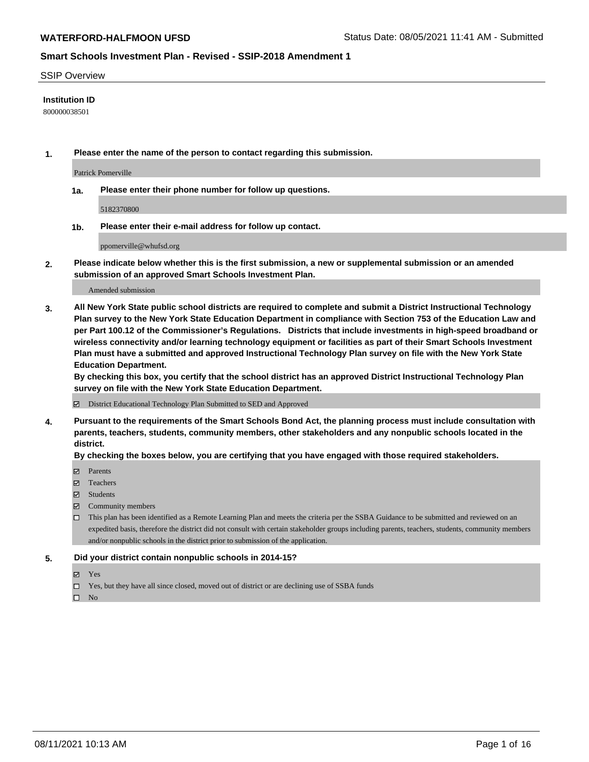#### SSIP Overview

### **Institution ID**

800000038501

**1. Please enter the name of the person to contact regarding this submission.**

Patrick Pomerville

**1a. Please enter their phone number for follow up questions.**

5182370800

**1b. Please enter their e-mail address for follow up contact.**

ppomerville@whufsd.org

**2. Please indicate below whether this is the first submission, a new or supplemental submission or an amended submission of an approved Smart Schools Investment Plan.**

#### Amended submission

**3. All New York State public school districts are required to complete and submit a District Instructional Technology Plan survey to the New York State Education Department in compliance with Section 753 of the Education Law and per Part 100.12 of the Commissioner's Regulations. Districts that include investments in high-speed broadband or wireless connectivity and/or learning technology equipment or facilities as part of their Smart Schools Investment Plan must have a submitted and approved Instructional Technology Plan survey on file with the New York State Education Department.** 

**By checking this box, you certify that the school district has an approved District Instructional Technology Plan survey on file with the New York State Education Department.**

District Educational Technology Plan Submitted to SED and Approved

**4. Pursuant to the requirements of the Smart Schools Bond Act, the planning process must include consultation with parents, teachers, students, community members, other stakeholders and any nonpublic schools located in the district.** 

### **By checking the boxes below, you are certifying that you have engaged with those required stakeholders.**

- **Parents**
- Teachers
- Students
- $\boxtimes$  Community members
- This plan has been identified as a Remote Learning Plan and meets the criteria per the SSBA Guidance to be submitted and reviewed on an expedited basis, therefore the district did not consult with certain stakeholder groups including parents, teachers, students, community members and/or nonpublic schools in the district prior to submission of the application.
- **5. Did your district contain nonpublic schools in 2014-15?**
	- Yes
	- □ Yes, but they have all since closed, moved out of district or are declining use of SSBA funds

 $\Box$  No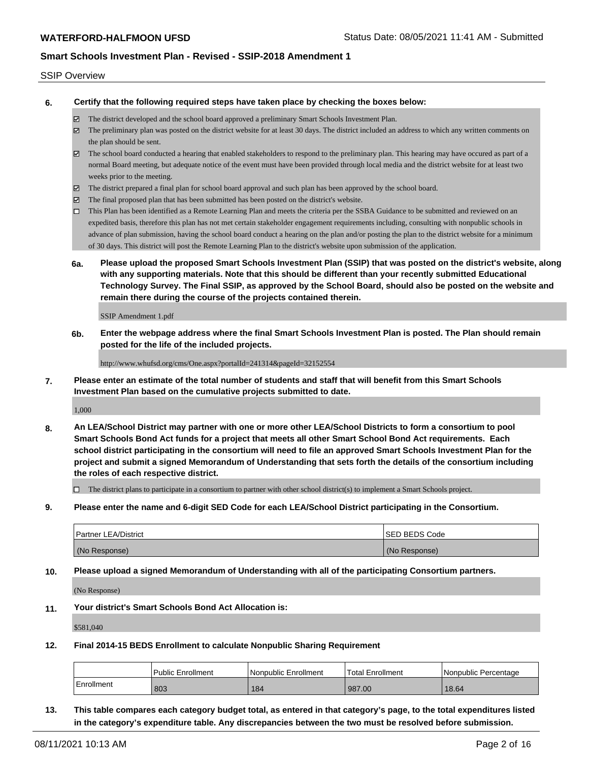#### SSIP Overview

**6. Certify that the following required steps have taken place by checking the boxes below:**

- The district developed and the school board approved a preliminary Smart Schools Investment Plan.
- The preliminary plan was posted on the district website for at least 30 days. The district included an address to which any written comments on the plan should be sent.
- The school board conducted a hearing that enabled stakeholders to respond to the preliminary plan. This hearing may have occured as part of a normal Board meeting, but adequate notice of the event must have been provided through local media and the district website for at least two weeks prior to the meeting.
- The district prepared a final plan for school board approval and such plan has been approved by the school board.
- $\boxtimes$  The final proposed plan that has been submitted has been posted on the district's website.
- This Plan has been identified as a Remote Learning Plan and meets the criteria per the SSBA Guidance to be submitted and reviewed on an expedited basis, therefore this plan has not met certain stakeholder engagement requirements including, consulting with nonpublic schools in advance of plan submission, having the school board conduct a hearing on the plan and/or posting the plan to the district website for a minimum of 30 days. This district will post the Remote Learning Plan to the district's website upon submission of the application.
- **6a. Please upload the proposed Smart Schools Investment Plan (SSIP) that was posted on the district's website, along with any supporting materials. Note that this should be different than your recently submitted Educational Technology Survey. The Final SSIP, as approved by the School Board, should also be posted on the website and remain there during the course of the projects contained therein.**

SSIP Amendment 1.pdf

**6b. Enter the webpage address where the final Smart Schools Investment Plan is posted. The Plan should remain posted for the life of the included projects.**

http://www.whufsd.org/cms/One.aspx?portalId=241314&pageId=32152554

**7. Please enter an estimate of the total number of students and staff that will benefit from this Smart Schools Investment Plan based on the cumulative projects submitted to date.**

1,000

**8. An LEA/School District may partner with one or more other LEA/School Districts to form a consortium to pool Smart Schools Bond Act funds for a project that meets all other Smart School Bond Act requirements. Each school district participating in the consortium will need to file an approved Smart Schools Investment Plan for the project and submit a signed Memorandum of Understanding that sets forth the details of the consortium including the roles of each respective district.**

 $\Box$  The district plans to participate in a consortium to partner with other school district(s) to implement a Smart Schools project.

**9. Please enter the name and 6-digit SED Code for each LEA/School District participating in the Consortium.**

| <b>Partner LEA/District</b> | <b>ISED BEDS Code</b> |
|-----------------------------|-----------------------|
| (No Response)               | (No Response)         |

**10. Please upload a signed Memorandum of Understanding with all of the participating Consortium partners.**

(No Response)

**11. Your district's Smart Schools Bond Act Allocation is:**

\$581,040

**12. Final 2014-15 BEDS Enrollment to calculate Nonpublic Sharing Requirement**

|            | <b>Public Enrollment</b> | l Nonpublic Enrollment | Total Enrollment | l Nonpublic Percentage |
|------------|--------------------------|------------------------|------------------|------------------------|
| Enrollment | 803                      | 184                    | 987.00           | 18.64                  |

**13. This table compares each category budget total, as entered in that category's page, to the total expenditures listed in the category's expenditure table. Any discrepancies between the two must be resolved before submission.**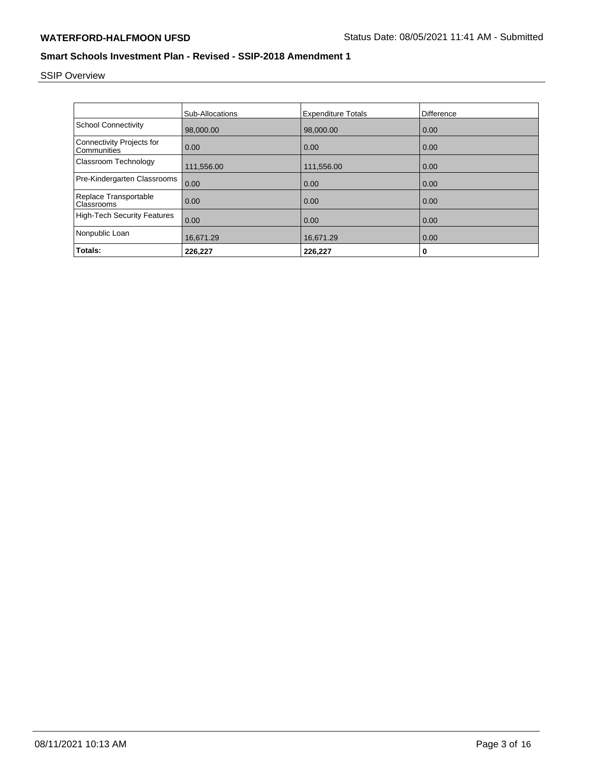# SSIP Overview

|                                                 | <b>Sub-Allocations</b> | <b>Expenditure Totals</b> | Difference |
|-------------------------------------------------|------------------------|---------------------------|------------|
| <b>School Connectivity</b>                      | 98,000.00              | 98,000.00                 | 0.00       |
| <b>Connectivity Projects for</b><br>Communities | 0.00                   | 0.00                      | 0.00       |
| Classroom Technology                            | 111,556.00             | 111,556.00                | 0.00       |
| Pre-Kindergarten Classrooms                     | 0.00                   | 0.00                      | 0.00       |
| Replace Transportable<br>Classrooms             | 0.00                   | 0.00                      | 0.00       |
| <b>High-Tech Security Features</b>              | 0.00                   | 0.00                      | 0.00       |
| Nonpublic Loan                                  | 16,671.29              | 16,671.29                 | 0.00       |
| Totals:                                         | 226,227                | 226,227                   | 0          |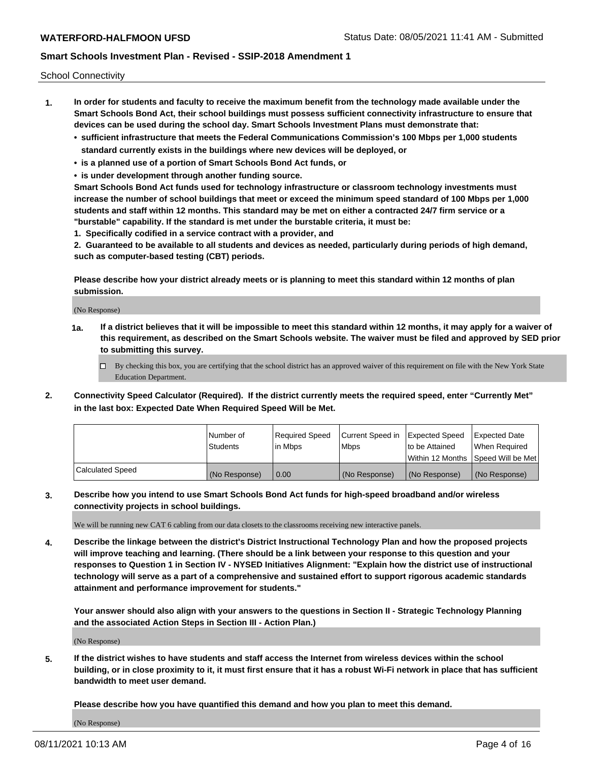School Connectivity

- **1. In order for students and faculty to receive the maximum benefit from the technology made available under the Smart Schools Bond Act, their school buildings must possess sufficient connectivity infrastructure to ensure that devices can be used during the school day. Smart Schools Investment Plans must demonstrate that:**
	- **• sufficient infrastructure that meets the Federal Communications Commission's 100 Mbps per 1,000 students standard currently exists in the buildings where new devices will be deployed, or**
	- **• is a planned use of a portion of Smart Schools Bond Act funds, or**
	- **• is under development through another funding source.**

**Smart Schools Bond Act funds used for technology infrastructure or classroom technology investments must increase the number of school buildings that meet or exceed the minimum speed standard of 100 Mbps per 1,000 students and staff within 12 months. This standard may be met on either a contracted 24/7 firm service or a "burstable" capability. If the standard is met under the burstable criteria, it must be:**

**1. Specifically codified in a service contract with a provider, and**

**2. Guaranteed to be available to all students and devices as needed, particularly during periods of high demand, such as computer-based testing (CBT) periods.**

**Please describe how your district already meets or is planning to meet this standard within 12 months of plan submission.**

(No Response)

**1a. If a district believes that it will be impossible to meet this standard within 12 months, it may apply for a waiver of this requirement, as described on the Smart Schools website. The waiver must be filed and approved by SED prior to submitting this survey.**

 $\Box$  By checking this box, you are certifying that the school district has an approved waiver of this requirement on file with the New York State Education Department.

**2. Connectivity Speed Calculator (Required). If the district currently meets the required speed, enter "Currently Met" in the last box: Expected Date When Required Speed Will be Met.**

|                  | l Number of     | Required Speed | Current Speed in | Expected Speed  | Expected Date                        |
|------------------|-----------------|----------------|------------------|-----------------|--------------------------------------|
|                  | <b>Students</b> | lin Mbps       | l Mbps           | Ito be Attained | When Required                        |
|                  |                 |                |                  |                 | Within 12 Months   Speed Will be Met |
| Calculated Speed | (No Response)   | 0.00           | (No Response)    | l (No Response) | (No Response)                        |

**3. Describe how you intend to use Smart Schools Bond Act funds for high-speed broadband and/or wireless connectivity projects in school buildings.**

We will be running new CAT 6 cabling from our data closets to the classrooms receiving new interactive panels.

**4. Describe the linkage between the district's District Instructional Technology Plan and how the proposed projects will improve teaching and learning. (There should be a link between your response to this question and your responses to Question 1 in Section IV - NYSED Initiatives Alignment: "Explain how the district use of instructional technology will serve as a part of a comprehensive and sustained effort to support rigorous academic standards attainment and performance improvement for students."** 

**Your answer should also align with your answers to the questions in Section II - Strategic Technology Planning and the associated Action Steps in Section III - Action Plan.)**

(No Response)

**5. If the district wishes to have students and staff access the Internet from wireless devices within the school building, or in close proximity to it, it must first ensure that it has a robust Wi-Fi network in place that has sufficient bandwidth to meet user demand.**

**Please describe how you have quantified this demand and how you plan to meet this demand.**

(No Response)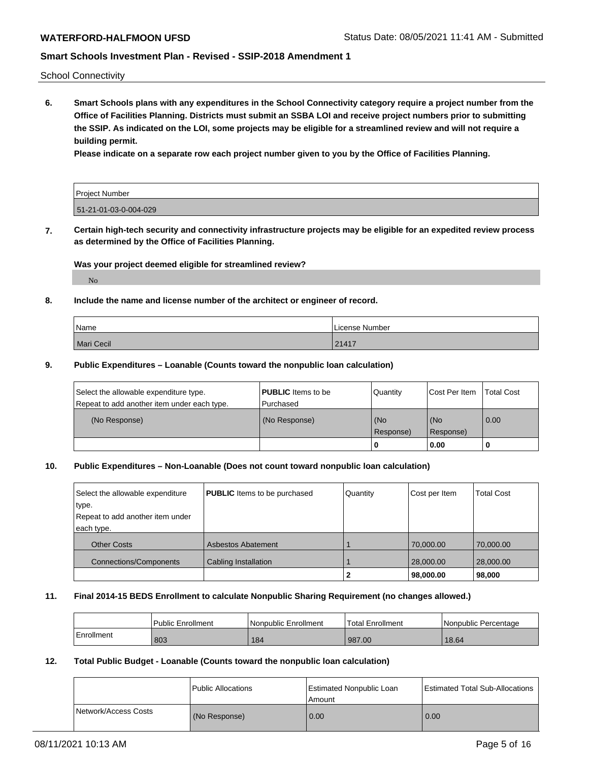School Connectivity

**6. Smart Schools plans with any expenditures in the School Connectivity category require a project number from the Office of Facilities Planning. Districts must submit an SSBA LOI and receive project numbers prior to submitting the SSIP. As indicated on the LOI, some projects may be eligible for a streamlined review and will not require a building permit.**

**Please indicate on a separate row each project number given to you by the Office of Facilities Planning.**

| <b>Project Number</b> |  |
|-----------------------|--|
|                       |  |
|                       |  |
|                       |  |
| 51-21-01-03-0-004-029 |  |
|                       |  |

**7. Certain high-tech security and connectivity infrastructure projects may be eligible for an expedited review process as determined by the Office of Facilities Planning.**

### **Was your project deemed eligible for streamlined review?**

No

### **8. Include the name and license number of the architect or engineer of record.**

| Name       | License Number |
|------------|----------------|
| Mari Cecil | 21417          |

### **9. Public Expenditures – Loanable (Counts toward the nonpublic loan calculation)**

| Select the allowable expenditure type.<br>Repeat to add another item under each type. | <b>PUBLIC</b> Items to be<br>l Purchased | <b>Quantity</b>  | Cost Per Item    | <b>Total Cost</b> |
|---------------------------------------------------------------------------------------|------------------------------------------|------------------|------------------|-------------------|
| (No Response)                                                                         | (No Response)                            | (No<br>Response) | (No<br>Response) | $\overline{0.00}$ |
|                                                                                       |                                          | 0                | 0.00             |                   |

### **10. Public Expenditures – Non-Loanable (Does not count toward nonpublic loan calculation)**

| Select the allowable expenditure | <b>PUBLIC</b> Items to be purchased | Quantity | Cost per Item | <b>Total Cost</b> |
|----------------------------------|-------------------------------------|----------|---------------|-------------------|
| type.                            |                                     |          |               |                   |
| Repeat to add another item under |                                     |          |               |                   |
| each type.                       |                                     |          |               |                   |
| <b>Other Costs</b>               | <b>Asbestos Abatement</b>           |          | 70,000.00     | 70,000.00         |
| <b>Connections/Components</b>    | Cabling Installation                |          | 28,000.00     | 28,000.00         |
|                                  |                                     |          | 98,000.00     | 98,000            |

#### **11. Final 2014-15 BEDS Enrollment to calculate Nonpublic Sharing Requirement (no changes allowed.)**

|            | <b>Public Enrollment</b> | l Nonpublic Enrollment | <b>Total Enrollment</b> | Nonpublic Percentage |
|------------|--------------------------|------------------------|-------------------------|----------------------|
| Enrollment | 803                      | 184                    | 987.00                  | 18.64                |

### **12. Total Public Budget - Loanable (Counts toward the nonpublic loan calculation)**

|                      | Public Allocations | Estimated Nonpublic Loan<br>Amount | Estimated Total Sub-Allocations |
|----------------------|--------------------|------------------------------------|---------------------------------|
| Network/Access Costs | (No Response)      | 0.00                               | 0.00                            |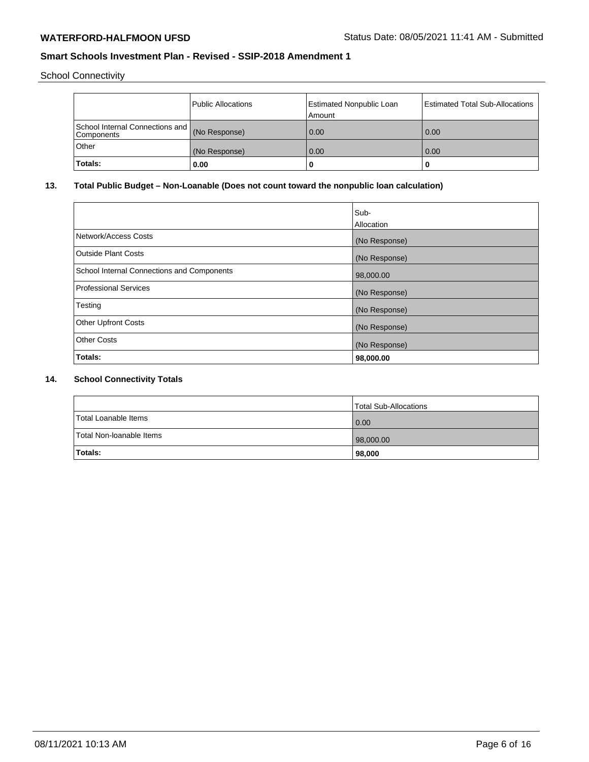School Connectivity

|                                                             | Public Allocations | Estimated Nonpublic Loan<br>Amount | Estimated Total Sub-Allocations |
|-------------------------------------------------------------|--------------------|------------------------------------|---------------------------------|
| School Internal Connections and (No Response)<br>Components |                    | 0.00                               | 0.00                            |
| Other                                                       | (No Response)      | 0.00                               | 0.00                            |
| 'Totals:                                                    | 0.00               | 0                                  |                                 |

# **13. Total Public Budget – Non-Loanable (Does not count toward the nonpublic loan calculation)**

|                                            | Sub-          |
|--------------------------------------------|---------------|
|                                            | Allocation    |
| Network/Access Costs                       | (No Response) |
| <b>Outside Plant Costs</b>                 | (No Response) |
| School Internal Connections and Components | 98,000.00     |
| <b>Professional Services</b>               | (No Response) |
| Testing                                    | (No Response) |
| <b>Other Upfront Costs</b>                 | (No Response) |
| <b>Other Costs</b>                         | (No Response) |
| Totals:                                    | 98,000.00     |

# **14. School Connectivity Totals**

|                          | Total Sub-Allocations |
|--------------------------|-----------------------|
| Total Loanable Items     | 0.00                  |
| Total Non-Ioanable Items | 98,000.00             |
| Totals:                  | 98,000                |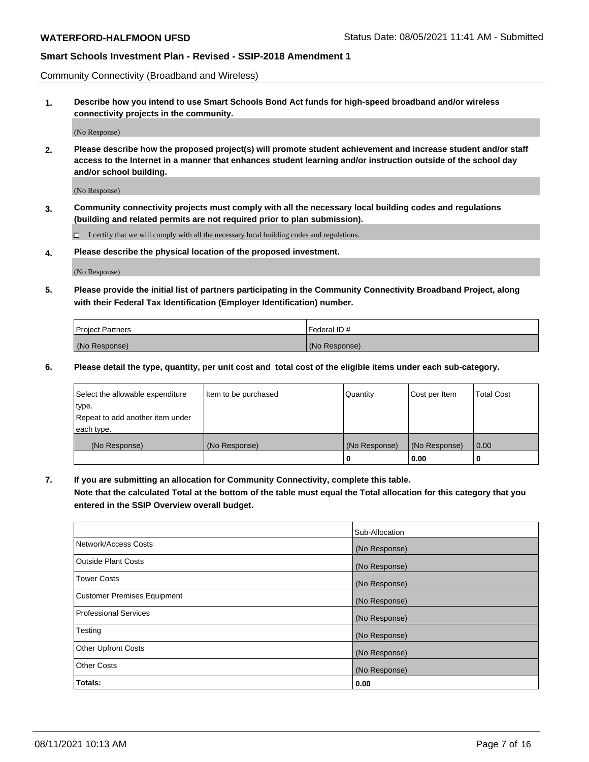Community Connectivity (Broadband and Wireless)

**1. Describe how you intend to use Smart Schools Bond Act funds for high-speed broadband and/or wireless connectivity projects in the community.**

(No Response)

**2. Please describe how the proposed project(s) will promote student achievement and increase student and/or staff access to the Internet in a manner that enhances student learning and/or instruction outside of the school day and/or school building.**

(No Response)

**3. Community connectivity projects must comply with all the necessary local building codes and regulations (building and related permits are not required prior to plan submission).**

 $\Box$  I certify that we will comply with all the necessary local building codes and regulations.

**4. Please describe the physical location of the proposed investment.**

(No Response)

**5. Please provide the initial list of partners participating in the Community Connectivity Broadband Project, along with their Federal Tax Identification (Employer Identification) number.**

| <b>Project Partners</b> | l Federal ID # |
|-------------------------|----------------|
| (No Response)           | (No Response)  |

**6. Please detail the type, quantity, per unit cost and total cost of the eligible items under each sub-category.**

| Select the allowable expenditure | Item to be purchased | Quantity      | Cost per Item | <b>Total Cost</b> |
|----------------------------------|----------------------|---------------|---------------|-------------------|
| type.                            |                      |               |               |                   |
| Repeat to add another item under |                      |               |               |                   |
| each type.                       |                      |               |               |                   |
| (No Response)                    | (No Response)        | (No Response) | (No Response) | 0.00              |
|                                  |                      | o             | 0.00          |                   |

**7. If you are submitting an allocation for Community Connectivity, complete this table.**

**Note that the calculated Total at the bottom of the table must equal the Total allocation for this category that you entered in the SSIP Overview overall budget.**

|                                    | Sub-Allocation |
|------------------------------------|----------------|
| Network/Access Costs               | (No Response)  |
| Outside Plant Costs                | (No Response)  |
| <b>Tower Costs</b>                 | (No Response)  |
| <b>Customer Premises Equipment</b> | (No Response)  |
| <b>Professional Services</b>       | (No Response)  |
| Testing                            | (No Response)  |
| <b>Other Upfront Costs</b>         | (No Response)  |
| <b>Other Costs</b>                 | (No Response)  |
| Totals:                            | 0.00           |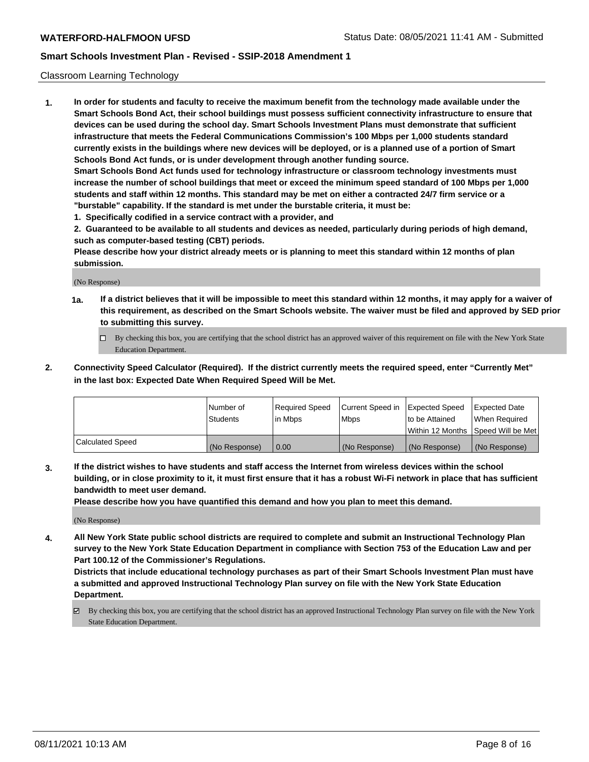### Classroom Learning Technology

**1. In order for students and faculty to receive the maximum benefit from the technology made available under the Smart Schools Bond Act, their school buildings must possess sufficient connectivity infrastructure to ensure that devices can be used during the school day. Smart Schools Investment Plans must demonstrate that sufficient infrastructure that meets the Federal Communications Commission's 100 Mbps per 1,000 students standard currently exists in the buildings where new devices will be deployed, or is a planned use of a portion of Smart Schools Bond Act funds, or is under development through another funding source. Smart Schools Bond Act funds used for technology infrastructure or classroom technology investments must increase the number of school buildings that meet or exceed the minimum speed standard of 100 Mbps per 1,000 students and staff within 12 months. This standard may be met on either a contracted 24/7 firm service or a**

- **"burstable" capability. If the standard is met under the burstable criteria, it must be:**
- **1. Specifically codified in a service contract with a provider, and**

**2. Guaranteed to be available to all students and devices as needed, particularly during periods of high demand, such as computer-based testing (CBT) periods.**

**Please describe how your district already meets or is planning to meet this standard within 12 months of plan submission.**

(No Response)

- **1a. If a district believes that it will be impossible to meet this standard within 12 months, it may apply for a waiver of this requirement, as described on the Smart Schools website. The waiver must be filed and approved by SED prior to submitting this survey.**
	- By checking this box, you are certifying that the school district has an approved waiver of this requirement on file with the New York State Education Department.
- **2. Connectivity Speed Calculator (Required). If the district currently meets the required speed, enter "Currently Met" in the last box: Expected Date When Required Speed Will be Met.**

|                  | l Number of     | Required Speed | Current Speed in | <b>Expected Speed</b> | <b>Expected Date</b>                |
|------------------|-----------------|----------------|------------------|-----------------------|-------------------------------------|
|                  | <b>Students</b> | l in Mbps      | l Mbps           | to be Attained        | When Required                       |
|                  |                 |                |                  |                       | Within 12 Months  Speed Will be Met |
| Calculated Speed | (No Response)   | 0.00           | (No Response)    | l (No Response)       | (No Response)                       |

**3. If the district wishes to have students and staff access the Internet from wireless devices within the school building, or in close proximity to it, it must first ensure that it has a robust Wi-Fi network in place that has sufficient bandwidth to meet user demand.**

**Please describe how you have quantified this demand and how you plan to meet this demand.**

(No Response)

**4. All New York State public school districts are required to complete and submit an Instructional Technology Plan survey to the New York State Education Department in compliance with Section 753 of the Education Law and per Part 100.12 of the Commissioner's Regulations.**

**Districts that include educational technology purchases as part of their Smart Schools Investment Plan must have a submitted and approved Instructional Technology Plan survey on file with the New York State Education Department.**

By checking this box, you are certifying that the school district has an approved Instructional Technology Plan survey on file with the New York State Education Department.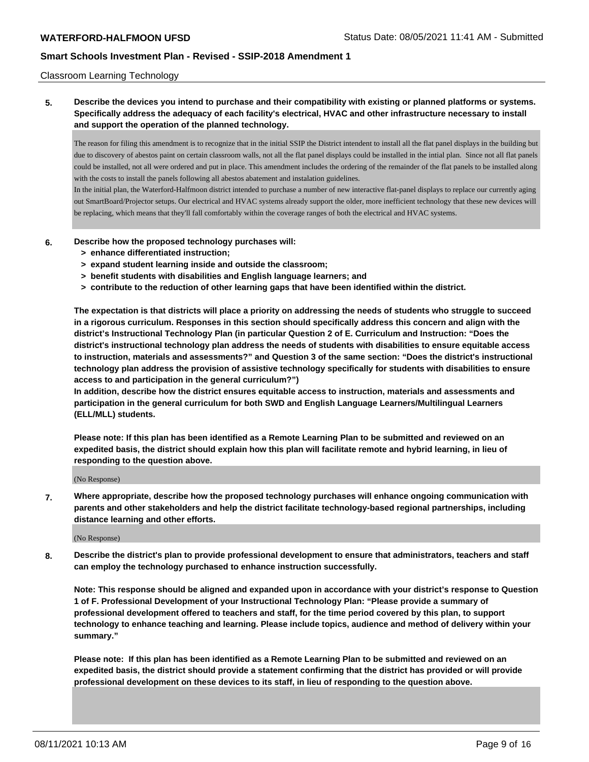#### Classroom Learning Technology

**5. Describe the devices you intend to purchase and their compatibility with existing or planned platforms or systems. Specifically address the adequacy of each facility's electrical, HVAC and other infrastructure necessary to install and support the operation of the planned technology.**

The reason for filing this amendment is to recognize that in the initial SSIP the District intendent to install all the flat panel displays in the building but due to discovery of abestos paint on certain classroom walls, not all the flat panel displays could be installed in the intial plan. Since not all flat panels could be installed, not all were ordered and put in place. This amendment includes the ordering of the remainder of the flat panels to be installed along with the costs to install the panels following all abestos abatement and instalation guidelines.

In the initial plan, the Waterford-Halfmoon district intended to purchase a number of new interactive flat-panel displays to replace our currently aging out SmartBoard/Projector setups. Our electrical and HVAC systems already support the older, more inefficient technology that these new devices will be replacing, which means that they'll fall comfortably within the coverage ranges of both the electrical and HVAC systems.

### **6. Describe how the proposed technology purchases will:**

- **> enhance differentiated instruction;**
- **> expand student learning inside and outside the classroom;**
- **> benefit students with disabilities and English language learners; and**
- **> contribute to the reduction of other learning gaps that have been identified within the district.**

**The expectation is that districts will place a priority on addressing the needs of students who struggle to succeed in a rigorous curriculum. Responses in this section should specifically address this concern and align with the district's Instructional Technology Plan (in particular Question 2 of E. Curriculum and Instruction: "Does the district's instructional technology plan address the needs of students with disabilities to ensure equitable access to instruction, materials and assessments?" and Question 3 of the same section: "Does the district's instructional technology plan address the provision of assistive technology specifically for students with disabilities to ensure access to and participation in the general curriculum?")**

**In addition, describe how the district ensures equitable access to instruction, materials and assessments and participation in the general curriculum for both SWD and English Language Learners/Multilingual Learners (ELL/MLL) students.**

**Please note: If this plan has been identified as a Remote Learning Plan to be submitted and reviewed on an expedited basis, the district should explain how this plan will facilitate remote and hybrid learning, in lieu of responding to the question above.**

(No Response)

**7. Where appropriate, describe how the proposed technology purchases will enhance ongoing communication with parents and other stakeholders and help the district facilitate technology-based regional partnerships, including distance learning and other efforts.**

#### (No Response)

**8. Describe the district's plan to provide professional development to ensure that administrators, teachers and staff can employ the technology purchased to enhance instruction successfully.**

**Note: This response should be aligned and expanded upon in accordance with your district's response to Question 1 of F. Professional Development of your Instructional Technology Plan: "Please provide a summary of professional development offered to teachers and staff, for the time period covered by this plan, to support technology to enhance teaching and learning. Please include topics, audience and method of delivery within your summary."**

**Please note: If this plan has been identified as a Remote Learning Plan to be submitted and reviewed on an expedited basis, the district should provide a statement confirming that the district has provided or will provide professional development on these devices to its staff, in lieu of responding to the question above.**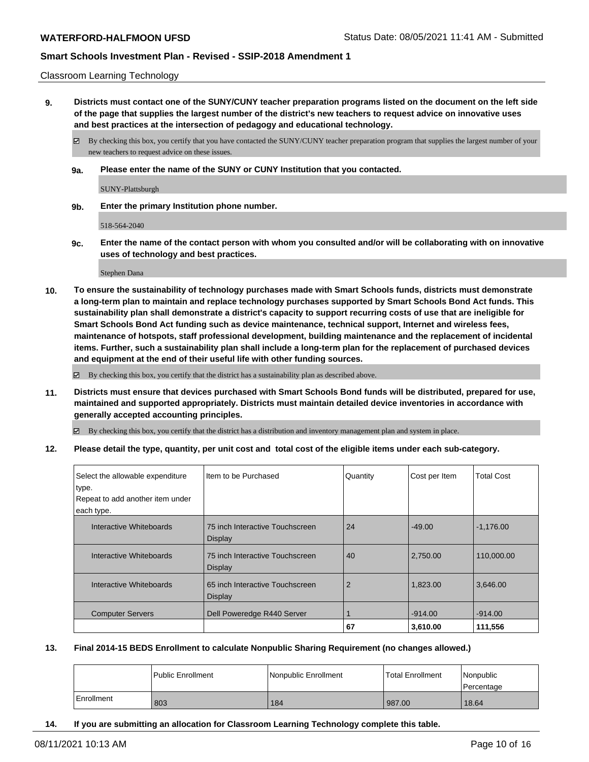#### Classroom Learning Technology

**9. Districts must contact one of the SUNY/CUNY teacher preparation programs listed on the document on the left side of the page that supplies the largest number of the district's new teachers to request advice on innovative uses and best practices at the intersection of pedagogy and educational technology.**

By checking this box, you certify that you have contacted the SUNY/CUNY teacher preparation program that supplies the largest number of your new teachers to request advice on these issues.

**9a. Please enter the name of the SUNY or CUNY Institution that you contacted.**

SUNY-Plattsburgh

**9b. Enter the primary Institution phone number.**

518-564-2040

**9c. Enter the name of the contact person with whom you consulted and/or will be collaborating with on innovative uses of technology and best practices.**

Stephen Dana

**10. To ensure the sustainability of technology purchases made with Smart Schools funds, districts must demonstrate a long-term plan to maintain and replace technology purchases supported by Smart Schools Bond Act funds. This sustainability plan shall demonstrate a district's capacity to support recurring costs of use that are ineligible for Smart Schools Bond Act funding such as device maintenance, technical support, Internet and wireless fees, maintenance of hotspots, staff professional development, building maintenance and the replacement of incidental items. Further, such a sustainability plan shall include a long-term plan for the replacement of purchased devices and equipment at the end of their useful life with other funding sources.**

By checking this box, you certify that the district has a sustainability plan as described above.

**11. Districts must ensure that devices purchased with Smart Schools Bond funds will be distributed, prepared for use, maintained and supported appropriately. Districts must maintain detailed device inventories in accordance with generally accepted accounting principles.**

By checking this box, you certify that the district has a distribution and inventory management plan and system in place.

**12. Please detail the type, quantity, per unit cost and total cost of the eligible items under each sub-category.**

| Select the allowable expenditure<br>type.<br>Repeat to add another item under | Iltem to be Purchased                             | Quantity | Cost per Item | <b>Total Cost</b> |
|-------------------------------------------------------------------------------|---------------------------------------------------|----------|---------------|-------------------|
| each type.                                                                    |                                                   |          |               |                   |
| Interactive Whiteboards                                                       | 75 inch Interactive Touchscreen<br><b>Display</b> | 24       | $-49.00$      | $-1,176.00$       |
| Interactive Whiteboards                                                       | 75 inch Interactive Touchscreen<br><b>Display</b> | 40       | 2,750.00      | 110,000.00        |
| Interactive Whiteboards                                                       | 65 inch Interactive Touchscreen<br><b>Display</b> | 2        | 1,823.00      | 3.646.00          |
| <b>Computer Servers</b>                                                       | Dell Poweredge R440 Server                        |          | $-914.00$     | $-914.00$         |
|                                                                               |                                                   | 67       | 3,610.00      | 111,556           |

### **13. Final 2014-15 BEDS Enrollment to calculate Nonpublic Sharing Requirement (no changes allowed.)**

|            | l Public Enrollment | Nonpublic Enrollment | Total Enrollment | Nonpublic<br>l Percentage |
|------------|---------------------|----------------------|------------------|---------------------------|
| Enrollment | 803                 | 184                  | 987.00           | 18.64                     |

**14. If you are submitting an allocation for Classroom Learning Technology complete this table.**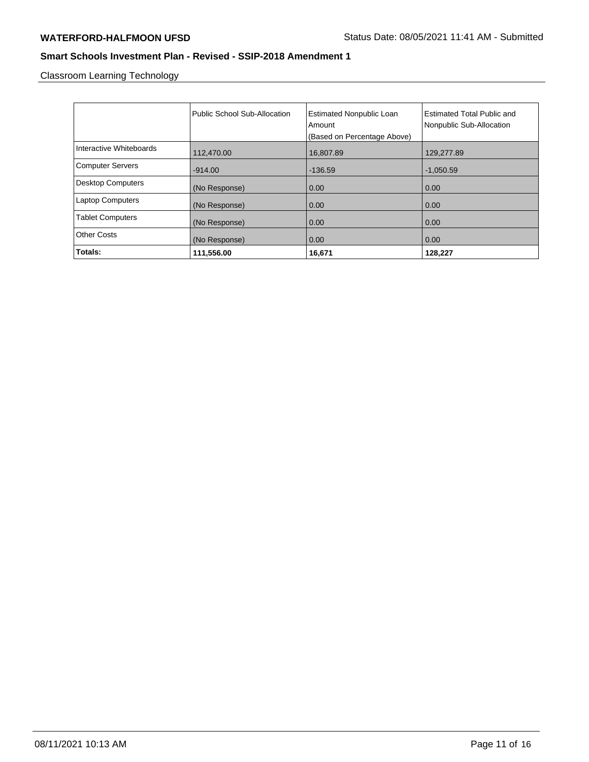Classroom Learning Technology

|                          | Public School Sub-Allocation | <b>Estimated Nonpublic Loan</b><br>Amount<br>(Based on Percentage Above) | <b>Estimated Total Public and</b><br>Nonpublic Sub-Allocation |
|--------------------------|------------------------------|--------------------------------------------------------------------------|---------------------------------------------------------------|
| Interactive Whiteboards  | 112,470.00                   | 16,807.89                                                                | 129,277.89                                                    |
| <b>Computer Servers</b>  | $-914.00$                    | $-136.59$                                                                | $-1,050.59$                                                   |
| <b>Desktop Computers</b> | (No Response)                | 0.00                                                                     | 0.00                                                          |
| <b>Laptop Computers</b>  | (No Response)                | 0.00                                                                     | 0.00                                                          |
| <b>Tablet Computers</b>  | (No Response)                | 0.00                                                                     | 0.00                                                          |
| <b>Other Costs</b>       | (No Response)                | 0.00                                                                     | 0.00                                                          |
| Totals:                  | 111,556.00                   | 16,671                                                                   | 128,227                                                       |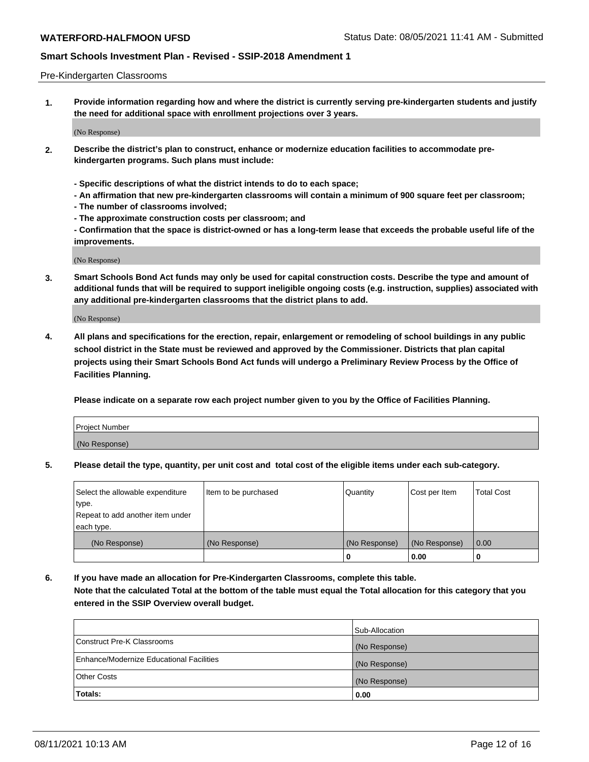#### Pre-Kindergarten Classrooms

**1. Provide information regarding how and where the district is currently serving pre-kindergarten students and justify the need for additional space with enrollment projections over 3 years.**

(No Response)

- **2. Describe the district's plan to construct, enhance or modernize education facilities to accommodate prekindergarten programs. Such plans must include:**
	- **Specific descriptions of what the district intends to do to each space;**
	- **An affirmation that new pre-kindergarten classrooms will contain a minimum of 900 square feet per classroom;**
	- **The number of classrooms involved;**
	- **The approximate construction costs per classroom; and**
	- **Confirmation that the space is district-owned or has a long-term lease that exceeds the probable useful life of the improvements.**

(No Response)

**3. Smart Schools Bond Act funds may only be used for capital construction costs. Describe the type and amount of additional funds that will be required to support ineligible ongoing costs (e.g. instruction, supplies) associated with any additional pre-kindergarten classrooms that the district plans to add.**

(No Response)

**4. All plans and specifications for the erection, repair, enlargement or remodeling of school buildings in any public school district in the State must be reviewed and approved by the Commissioner. Districts that plan capital projects using their Smart Schools Bond Act funds will undergo a Preliminary Review Process by the Office of Facilities Planning.**

**Please indicate on a separate row each project number given to you by the Office of Facilities Planning.**

| Project Number |  |
|----------------|--|
| (No Response)  |  |
|                |  |

**5. Please detail the type, quantity, per unit cost and total cost of the eligible items under each sub-category.**

| Select the allowable expenditure | Item to be purchased | Quantity      | Cost per Item | <b>Total Cost</b> |
|----------------------------------|----------------------|---------------|---------------|-------------------|
| type.                            |                      |               |               |                   |
| Repeat to add another item under |                      |               |               |                   |
| each type.                       |                      |               |               |                   |
| (No Response)                    | (No Response)        | (No Response) | (No Response) | 0.00              |
|                                  |                      | U             | 0.00          |                   |

**6. If you have made an allocation for Pre-Kindergarten Classrooms, complete this table. Note that the calculated Total at the bottom of the table must equal the Total allocation for this category that you entered in the SSIP Overview overall budget.**

|                                          | Sub-Allocation |
|------------------------------------------|----------------|
| Construct Pre-K Classrooms               | (No Response)  |
| Enhance/Modernize Educational Facilities | (No Response)  |
| <b>Other Costs</b>                       | (No Response)  |
| Totals:                                  | 0.00           |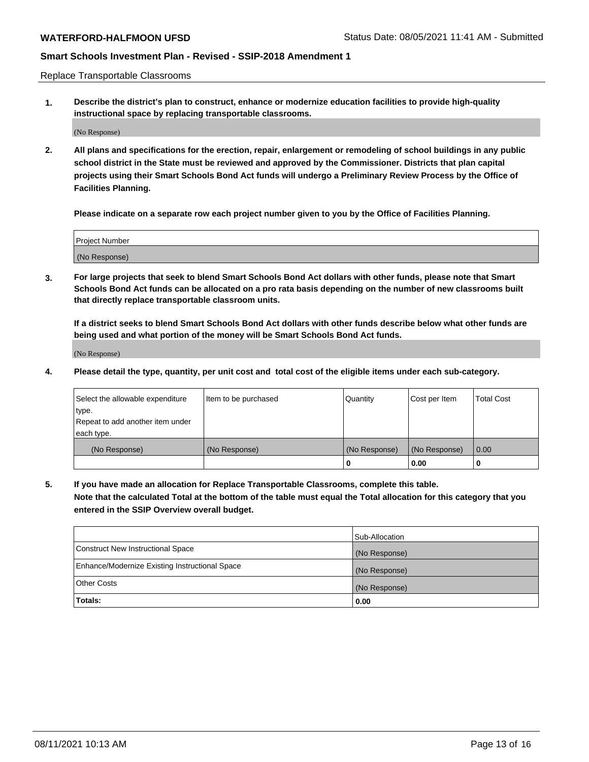Replace Transportable Classrooms

**1. Describe the district's plan to construct, enhance or modernize education facilities to provide high-quality instructional space by replacing transportable classrooms.**

(No Response)

**2. All plans and specifications for the erection, repair, enlargement or remodeling of school buildings in any public school district in the State must be reviewed and approved by the Commissioner. Districts that plan capital projects using their Smart Schools Bond Act funds will undergo a Preliminary Review Process by the Office of Facilities Planning.**

**Please indicate on a separate row each project number given to you by the Office of Facilities Planning.**

| Project Number |  |
|----------------|--|
|                |  |
| (No Response)  |  |

**3. For large projects that seek to blend Smart Schools Bond Act dollars with other funds, please note that Smart Schools Bond Act funds can be allocated on a pro rata basis depending on the number of new classrooms built that directly replace transportable classroom units.**

**If a district seeks to blend Smart Schools Bond Act dollars with other funds describe below what other funds are being used and what portion of the money will be Smart Schools Bond Act funds.**

(No Response)

**4. Please detail the type, quantity, per unit cost and total cost of the eligible items under each sub-category.**

| Select the allowable expenditure | Item to be purchased | Quantity      | Cost per Item | Total Cost |
|----------------------------------|----------------------|---------------|---------------|------------|
| ∣type.                           |                      |               |               |            |
| Repeat to add another item under |                      |               |               |            |
| each type.                       |                      |               |               |            |
| (No Response)                    | (No Response)        | (No Response) | (No Response) | 0.00       |
|                                  |                      | u             | 0.00          |            |

**5. If you have made an allocation for Replace Transportable Classrooms, complete this table. Note that the calculated Total at the bottom of the table must equal the Total allocation for this category that you entered in the SSIP Overview overall budget.**

|                                                | Sub-Allocation |
|------------------------------------------------|----------------|
| Construct New Instructional Space              | (No Response)  |
| Enhance/Modernize Existing Instructional Space | (No Response)  |
| Other Costs                                    | (No Response)  |
| Totals:                                        | 0.00           |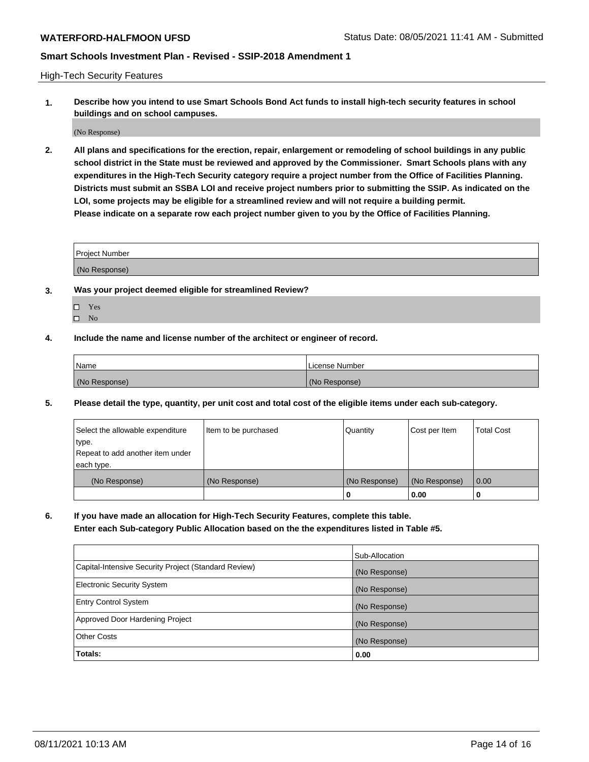High-Tech Security Features

**1. Describe how you intend to use Smart Schools Bond Act funds to install high-tech security features in school buildings and on school campuses.**

(No Response)

**2. All plans and specifications for the erection, repair, enlargement or remodeling of school buildings in any public school district in the State must be reviewed and approved by the Commissioner. Smart Schools plans with any expenditures in the High-Tech Security category require a project number from the Office of Facilities Planning. Districts must submit an SSBA LOI and receive project numbers prior to submitting the SSIP. As indicated on the LOI, some projects may be eligible for a streamlined review and will not require a building permit. Please indicate on a separate row each project number given to you by the Office of Facilities Planning.**

| <b>Project Number</b> |  |
|-----------------------|--|
| (No Response)         |  |

- **3. Was your project deemed eligible for streamlined Review?**
	- Yes
	- $\hfill \square$  No
- **4. Include the name and license number of the architect or engineer of record.**

| Name          | License Number |
|---------------|----------------|
| (No Response) | (No Response)  |

**5. Please detail the type, quantity, per unit cost and total cost of the eligible items under each sub-category.**

| Select the allowable expenditure | Item to be purchased | Quantity      | Cost per Item | Total Cost |
|----------------------------------|----------------------|---------------|---------------|------------|
| 'type.                           |                      |               |               |            |
| Repeat to add another item under |                      |               |               |            |
| each type.                       |                      |               |               |            |
| (No Response)                    | (No Response)        | (No Response) | (No Response) | 0.00       |
|                                  |                      | u             | 0.00          |            |

**6. If you have made an allocation for High-Tech Security Features, complete this table.**

**Enter each Sub-category Public Allocation based on the the expenditures listed in Table #5.**

|                                                      | Sub-Allocation |
|------------------------------------------------------|----------------|
| Capital-Intensive Security Project (Standard Review) | (No Response)  |
| <b>Electronic Security System</b>                    | (No Response)  |
| <b>Entry Control System</b>                          | (No Response)  |
| Approved Door Hardening Project                      | (No Response)  |
| <b>Other Costs</b>                                   | (No Response)  |
| Totals:                                              | 0.00           |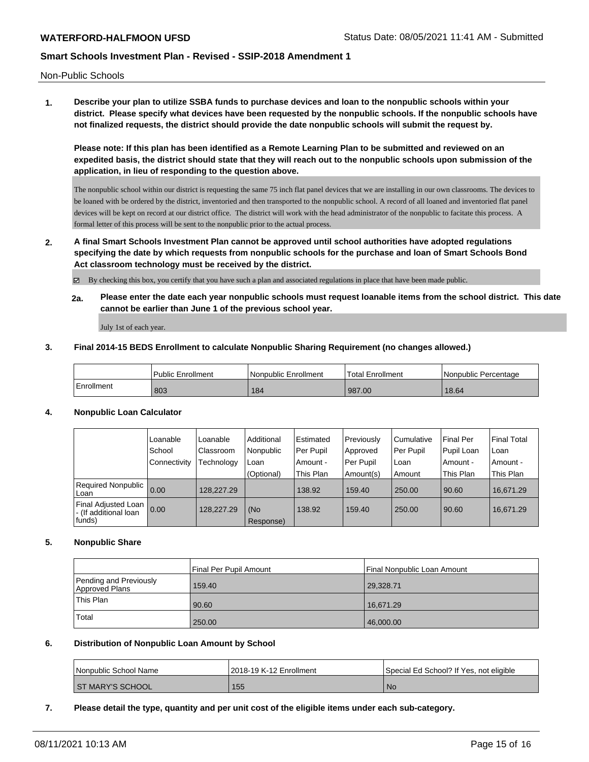Non-Public Schools

**1. Describe your plan to utilize SSBA funds to purchase devices and loan to the nonpublic schools within your district. Please specify what devices have been requested by the nonpublic schools. If the nonpublic schools have not finalized requests, the district should provide the date nonpublic schools will submit the request by.**

**Please note: If this plan has been identified as a Remote Learning Plan to be submitted and reviewed on an expedited basis, the district should state that they will reach out to the nonpublic schools upon submission of the application, in lieu of responding to the question above.**

The nonpublic school within our district is requesting the same 75 inch flat panel devices that we are installing in our own classrooms. The devices to be loaned with be ordered by the district, inventoried and then transported to the nonpublic school. A record of all loaned and inventoried flat panel devices will be kept on record at our district office. The district will work with the head administrator of the nonpublic to facitate this process. A formal letter of this process will be sent to the nonpublic prior to the actual process.

**2. A final Smart Schools Investment Plan cannot be approved until school authorities have adopted regulations specifying the date by which requests from nonpublic schools for the purchase and loan of Smart Schools Bond Act classroom technology must be received by the district.**

By checking this box, you certify that you have such a plan and associated regulations in place that have been made public.

**2a. Please enter the date each year nonpublic schools must request loanable items from the school district. This date cannot be earlier than June 1 of the previous school year.**

July 1st of each year.

### **3. Final 2014-15 BEDS Enrollment to calculate Nonpublic Sharing Requirement (no changes allowed.)**

|            | <b>Public Enrollment</b> | Nonpublic Enrollment | <sup>1</sup> Total Enrollment | Nonpublic Percentage |
|------------|--------------------------|----------------------|-------------------------------|----------------------|
| Enrollment | 803                      | 184                  | 987.00                        | 18.64                |

### **4. Nonpublic Loan Calculator**

|                                                         | Loanable     | Loanable   | Additional       | Estimated | Previously | Cumulative | <b>Final Per</b> | <b>Final Total</b> |
|---------------------------------------------------------|--------------|------------|------------------|-----------|------------|------------|------------------|--------------------|
|                                                         | School       | Classroom  | Nonpublic        | Per Pupil | Approved   | Per Pupil  | Pupil Loan       | l Loan             |
|                                                         | Connectivity | Technology | Loan             | Amount -  | Per Pupil  | Loan       | Amount -         | l Amount -         |
|                                                         |              |            | (Optional)       | This Plan | Amount(s)  | Amount     | This Plan        | This Plan          |
| Required Nonpublic  <br>Loan                            | 0.00         | 128.227.29 |                  | 138.92    | 159.40     | 250.00     | 90.60            | 16,671.29          |
| Final Adjusted Loan<br>I- (If additional loan<br>funds) | 0.00         | 128.227.29 | (No<br>Response) | 138.92    | 159.40     | 250.00     | 90.60            | 16.671.29          |

### **5. Nonpublic Share**

|                                          | Final Per Pupil Amount | Final Nonpublic Loan Amount |
|------------------------------------------|------------------------|-----------------------------|
| Pending and Previously<br>Approved Plans | 159.40                 | 29,328.71                   |
| 'This Plan                               | 90.60                  | 16.671.29                   |
| Total                                    | 250.00                 | 46,000.00                   |

#### **6. Distribution of Nonpublic Loan Amount by School**

| Nonpublic School Name   | 2018-19 K-12 Enrollment | Special Ed School? If Yes, not eligible |
|-------------------------|-------------------------|-----------------------------------------|
| <b>ST MARY'S SCHOOL</b> | 155                     | <b>No</b>                               |

**7. Please detail the type, quantity and per unit cost of the eligible items under each sub-category.**